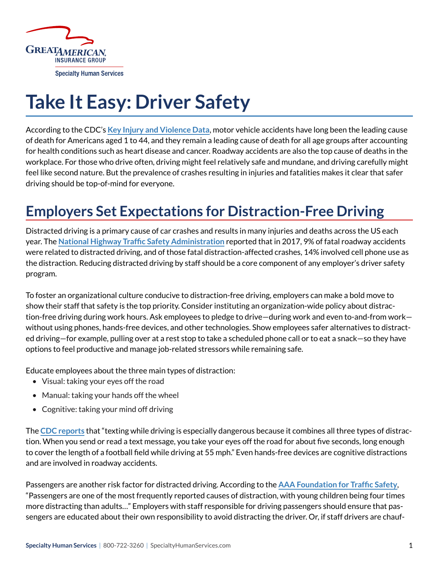

# **Take It Easy: Driver Safety**

According to the CDC's **[Key Injury and Violence Data](https://www.cdc.gov/injury/wisqars/overview/key_data.html)**, motor vehicle accidents have long been the leading cause of death for Americans aged 1 to 44, and they remain a leading cause of death for all age groups after accounting for health conditions such as heart disease and cancer. Roadway accidents are also the top cause of deaths in the workplace. For those who drive often, driving might feel relatively safe and mundane, and driving carefully might feel like second nature. But the prevalence of crashes resulting in injuries and fatalities makes it clear that safer driving should be top-of-mind for everyone.

# **Employers Set Expectations for Distraction-Free Driving**

Distracted driving is a primary cause of car crashes and results in many injuries and deaths across the US each year. The **[National Highway Traffic Safety Administration](https://crashstats.nhtsa.dot.gov/Api/Public/ViewPublication/812700)** reported that in 2017, 9% of fatal roadway accidents were related to distracted driving, and of those fatal distraction-affected crashes, 14% involved cell phone use as the distraction. Reducing distracted driving by staff should be a core component of any employer's driver safety program.

To foster an organizational culture conducive to distraction-free driving, employers can make a bold move to show their staff that safety is the top priority. Consider instituting an organization-wide policy about distraction-free driving during work hours. Ask employees to pledge to drive—during work and even to-and-from work without using phones, hands-free devices, and other technologies. Show employees safer alternatives to distracted driving—for example, pulling over at a rest stop to take a scheduled phone call or to eat a snack—so they have options to feel productive and manage job-related stressors while remaining safe.

Educate employees about the three main types of distraction:

- Visual: taking your eyes off the road
- Manual: taking your hands off the wheel
- Cognitive: taking your mind off driving

The **[CDC reports](https://www.cdc.gov/motorvehiclesafety/distracted_driving/index.html)** that "texting while driving is especially dangerous because it combines all three types of distraction. When you send or read a text message, you take your eyes off the road for about five seconds, long enough to cover the length of a football field while driving at 55 mph." Even hands-free devices are cognitive distractions and are involved in roadway accidents.

Passengers are another risk factor for distracted driving. According to the **[AAA Foundation for Traffic Safety](https://www.enddd.org/end-distracted-driving/videos/passengers/)**, "Passengers are one of the most frequently reported causes of distraction, with young children being four times more distracting than adults…" Employers with staff responsible for driving passengers should ensure that passengers are educated about their own responsibility to avoid distracting the driver. Or, if staff drivers are chauf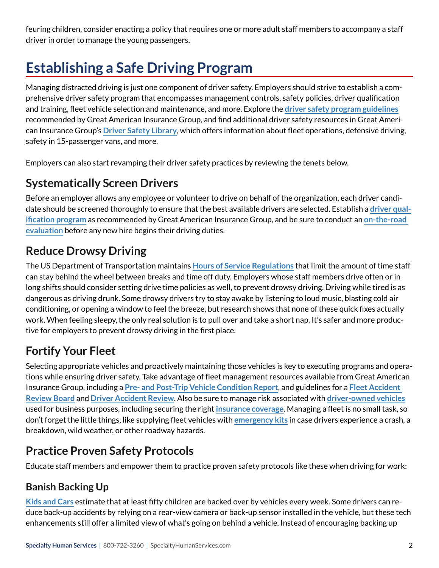feuring children, consider enacting a policy that requires one or more adult staff members to accompany a staff driver in order to manage the young passengers.

# **Establishing a Safe Driving Program**

Managing distracted driving is just one component of driver safety. Employers should strive to establish a comprehensive driver safety program that encompasses management controls, safety policies, driver qualification and training, fleet vehicle selection and maintenance, and more. Explore the **[driver safety program guidelines](https://www.greatamericaninsurancegroup.com/docs/default-source/loss-prevention/f13850-motor-vehicle-operators-1-20-16-web.pdf?sfvrsn=4d6a77b1_7)** recommended by Great American Insurance Group, and find additional driver safety resources in Great American Insurance Group's **[Driver Safety Library](https://www.greatamericaninsurancegroup.com/for-businesses/tools/loss-prevention/loss-prevention-library/lp-library-driver-safety/1)**, which offers information about fleet operations, defensive driving, safety in 15-passenger vans, and more.

Employers can also start revamping their driver safety practices by reviewing the tenets below.

## **Systematically Screen Drivers**

Before an employer allows any employee or volunteer to drive on behalf of the organization, each driver candidate should be screened thoroughly to ensure that the best available drivers are selected. Establish a **[driver qual](https://www.greatamericaninsurancegroup.com/docs/default-source/loss-prevention/f13853_(2-08)driverqualificationfordriversofautomobile.pdf?sfvrsn=566a77b1_5)[ification program](https://www.greatamericaninsurancegroup.com/docs/default-source/loss-prevention/f13853_(2-08)driverqualificationfordriversofautomobile.pdf?sfvrsn=566a77b1_5)** as recommended by Great American Insurance Group, and be sure to conduct an **[on-the-road](https://www.greatamericaninsurancegroup.com/docs/default-source/loss-prevention/f13532b-lp-road-test-evaluation-1-16-web.pdf?sfvrsn=2a7e77b1_6)  [evaluation](https://www.greatamericaninsurancegroup.com/docs/default-source/loss-prevention/f13532b-lp-road-test-evaluation-1-16-web.pdf?sfvrsn=2a7e77b1_6)** before any new hire begins their driving duties.

# **Reduce Drowsy Driving**

The US Department of Transportation maintains **[Hours of Service Regulations](https://cms8.fmcsa.dot.gov/regulations/hours-service/summary-hours-service-regulations)** that limit the amount of time staff can stay behind the wheel between breaks and time off duty. Employers whose staff members drive often or in long shifts should consider setting drive time policies as well, to prevent drowsy driving. Driving while tired is as dangerous as driving drunk. Some drowsy drivers try to stay awake by listening to loud music, blasting cold air conditioning, or opening a window to feel the breeze, but research shows that none of these quick fixes actually work. When feeling sleepy, the only real solution is to pull over and take a short nap. It's safer and more productive for employers to prevent drowsy driving in the first place.

# **Fortify Your Fleet**

Selecting appropriate vehicles and proactively maintaining those vehicles is key to executing programs and operations while ensuring driver safety. Take advantage of fleet management resources available from Great American Insurance Group, including a **[Pre- and Post-Trip Vehicle Condition Report](https://www.greatamericaninsurancegroup.com/docs/default-source/loss-prevention/f13641-lp-pre-and-post-trip-vehicle-inspection-report-1-16-web.pdf?sfvrsn=877477b1_6)**, and guidelines for a **[Fleet Accident](https://www.greatamericaninsurancegroup.com/docs/default-source/loss-prevention/f13726-lp-fleet-accident-review-board-1-16-web.pdf?sfvrsn=187477b1_6)  [Review Board](https://www.greatamericaninsurancegroup.com/docs/default-source/loss-prevention/f13726-lp-fleet-accident-review-board-1-16-web.pdf?sfvrsn=187477b1_6)** and **[Driver Accident Review](https://www.greatamericaninsurancegroup.com/docs/default-source/loss-prevention/f13493driver-accident-review.pdf?sfvrsn=a17e77b1_4)**. Also be sure to manage risk associated with **[driver-owned vehicles](https://www.greatamericaninsurancegroup.com/docs/default-source/loss-prevention/f13852_(2-08)driverownedleasesvehiclesusedfor.pdf?sfvrsn=5b6a77b1_5)** used for business purposes, including securing the right **[insurance coverage](https://www.greatamericaninsurancegroup.com/docs/default-source/loss-prevention/f13901-lp-managing-non-owned-and-hired-auto-exposures.pdf?sfvrsn=dc6977b1_4)**. Managing a fleet is no small task, so don't forget the little things, like supplying fleet vehicles with **[emergency kits](https://www.nsc.org/home-safety/safety-topics/emergency-preparedness/car-kit)** in case drivers experience a crash, a breakdown, wild weather, or other roadway hazards.

### **Practice Proven Safety Protocols**

Educate staff members and empower them to practice proven safety protocols like these when driving for work:

### **Banish Backing Up**

**[Kids and Cars](https://www.kidsandcars.org/how-kids-get-hurt/backovers/)** estimate that at least fifty children are backed over by vehicles every week. Some drivers can reduce back-up accidents by relying on a rear-view camera or back-up sensor installed in the vehicle, but these tech enhancements still offer a limited view of what's going on behind a vehicle. Instead of encouraging backing up